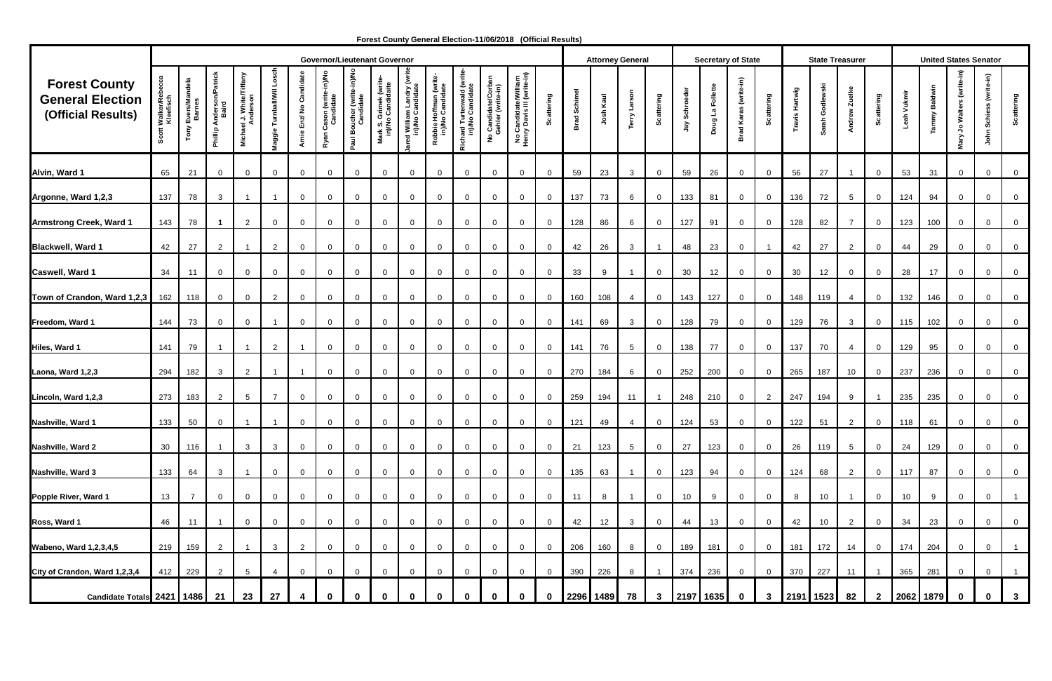|                                                                       |                                | <b>Governor/Lieutenant Governor</b>    |                                      |                                                 |                           |                         |                                       |                                         |                                            |                                             |                                            |                                               |                                                                               |                                                    | <b>Attorney General</b> |                 |           |                 | <b>Secretary of State</b> |               |                  |                       |                         | <b>State Treasurer</b> |                 |                 |                   | <b>United States Senator</b> |              |                                 |                                        |                   |
|-----------------------------------------------------------------------|--------------------------------|----------------------------------------|--------------------------------------|-------------------------------------------------|---------------------------|-------------------------|---------------------------------------|-----------------------------------------|--------------------------------------------|---------------------------------------------|--------------------------------------------|-----------------------------------------------|-------------------------------------------------------------------------------|----------------------------------------------------|-------------------------|-----------------|-----------|-----------------|---------------------------|---------------|------------------|-----------------------|-------------------------|------------------------|-----------------|-----------------|-------------------|------------------------------|--------------|---------------------------------|----------------------------------------|-------------------|
| <b>Forest County</b><br><b>General Election</b><br>(Official Results) | Walker/Rel<br>Kleefisch<br>്ഗ് | <b>Evers/Mandela</b><br>Barnes<br>Tony | Anderson/Patrick<br>Baird<br>Phillip | ael J. White/Tiffany<br>Anderson<br><b>Mich</b> | Turnball/Wil Lo<br>laggie | Arnie Enz/ No Candidate | Ryan Cason (write-in)/No<br>Candidate | Paul Boucher (write-in)/No<br>Candidate | Mark S. Grimek (write<br>in)/No Candidaite | ed William Landry (writ<br>in)/No Candidate | Robbie Hoffman (write-<br>in)/No Candidate | Richard Turtenwald (write<br>in)/No Candidate | o Candidate/Corban<br>Gehler (write-in)<br>$\overset{\mathtt{o}}{\mathtt{z}}$ | No Candidate/William<br>Henry Davis III (write-in) | attering                | Schimel<br>Brad | Josh Kaul | Terry Larson    | Scattering                | Jay Schroeder | Doug La Follette | Brad Karas (write-in) | Scattering              | Travis Hartwig         | Sarah Godlewski | Andrew Zuelke   | <b>Scattering</b> | Leah Vukmir                  | ammy Baldwin | Walters (write-in)<br>و<br>Mary | (write-in)<br>Schie<br>$\epsilon$<br>흥 | <b>Scattering</b> |
| Alvin, Ward 1                                                         | 65                             | 21                                     | $\overline{0}$                       | $\overline{0}$                                  | $\mathbf 0$               | $\overline{0}$          | 0                                     | $\mathbf 0$                             | $\mathbf{0}$                               | $\overline{0}$                              | $\overline{0}$                             | $\overline{0}$                                | $\overline{0}$                                                                | $\mathbf 0$                                        | $\overline{0}$          | 59              | 23        | $\mathbf{3}$    | $\mathbf 0$               | 59            | 26               | $\overline{0}$        | $\overline{0}$          | 56                     | 27              |                 | $\overline{0}$    | 53                           | 31           | $\overline{0}$                  | $\mathbf 0$                            | $\overline{0}$    |
| Argonne, Ward 1,2,3                                                   | 137                            | 78                                     | $\mathbf{3}$                         |                                                 |                           | $\overline{0}$          | $\mathbf 0$                           | $\mathbf 0$                             | $\mathbf 0$                                | $\overline{0}$                              | $\mathbf{0}$                               | $\mathbf{0}$                                  | $\overline{0}$                                                                | $\mathbf 0$                                        | $\overline{0}$          | 137             | 73        | 6               | $\mathbf 0$               | 133           | 81               | $\overline{0}$        | $\overline{0}$          | 136                    | 72              | $5\overline{)}$ | $\mathbf{0}$      | 124                          | 94           | $\overline{0}$                  | $\mathbf{0}$                           | $\overline{0}$    |
| <b>Armstrong Creek, Ward 1</b>                                        | 143                            | 78                                     | -1                                   | $\overline{2}$                                  | $\mathbf 0$               | $\overline{0}$          | 0                                     | $\overline{0}$                          | $\mathbf{0}$                               | $\overline{0}$                              | $\overline{0}$                             | $\Omega$                                      | $\mathbf 0$                                                                   | $\mathbf 0$                                        | $\overline{0}$          | 128             | 86        | 6               | $\mathbf 0$               | 127           | 91               | $\overline{0}$        | $\mathbf 0$             | 128                    | 82              | $\overline{7}$  | $\overline{0}$    | 123                          | 100          | $\overline{0}$                  | $\mathbf{0}$                           | $\overline{0}$    |
| <b>Blackwell, Ward 1</b>                                              | 42                             | 27                                     | $\overline{2}$                       | -1                                              | $\overline{2}$            | $\overline{0}$          | 0                                     | $\mathbf{0}$                            | $\mathbf{0}$                               | $\mathbf{0}$                                | $\overline{0}$                             | $\overline{0}$                                | $\mathbf 0$                                                                   | $\mathbf{0}$                                       | $\overline{0}$          | 42              | 26        | $\mathbf{3}$    |                           | 48            | 23               | $\overline{0}$        | $\overline{\mathbf{1}}$ | 42                     | 27              | $\overline{2}$  | $\mathbf{0}$      | 44                           | 29           | $\overline{0}$                  | $\mathbf 0$                            | $\overline{0}$    |
| Caswell, Ward 1                                                       | 34                             | 11                                     | $\overline{0}$                       | $\mathbf 0$                                     | $\mathbf 0$               | $\overline{0}$          | $\mathbf{0}$                          | $\mathbf 0$                             | $\mathbf 0$                                | $\overline{0}$                              | $\mathbf 0$                                | $\mathbf 0$                                   | $\mathbf 0$                                                                   | 0                                                  | $\mathbf 0$             | 33              | 9         | -1              | $\mathbf 0$               | 30            | 12               | $\overline{0}$        | $\overline{0}$          | 30                     | 12              | $\mathbf{0}$    | $\mathbf{0}$      | 28                           | 17           | $\overline{0}$                  | $\mathbf 0$                            | $\mathsf 0$       |
| Town of Crandon, Ward 1,2,3                                           | 162                            | 118                                    | $\overline{0}$                       | $\overline{0}$                                  | $\overline{2}$            | $\overline{0}$          | $\mathbf 0$                           | $\overline{0}$                          | $\mathbf{0}$                               | $\mathbf 0$                                 | $\overline{0}$                             | $\mathbf 0$                                   | $\mathbf 0$                                                                   | $\mathbf 0$                                        | $\overline{0}$          | 160             | 108       | 4               | $\mathbf 0$               | 143           | 127              | $\overline{0}$        | $\overline{0}$          | 148                    | 119             | $\overline{4}$  | $\mathbf{0}$      | 132                          | 146          | $\overline{0}$                  | $\mathbf 0$                            | $\mathsf 0$       |
| Freedom, Ward 1                                                       | 144                            | 73                                     | $\overline{0}$                       | $\overline{0}$                                  |                           | $\overline{0}$          | 0                                     | $\mathbf 0$                             | $\mathbf 0$                                | $\mathbf 0$                                 | $\overline{0}$                             | $\mathbf{0}$                                  | $\overline{0}$                                                                | $\mathbf 0$                                        | $\overline{0}$          | 141             | 69        | $\mathbf{3}$    | $\overline{0}$            | 128           | 79               | $\overline{0}$        | $\overline{0}$          | 129                    | 76              | $\mathbf{3}$    | $\mathbf{0}$      | 115                          | 102          | $\overline{0}$                  | $\mathbf 0$                            | $\overline{0}$    |
| Hiles, Ward 1                                                         | 141                            | 79                                     | -1                                   | $\overline{\mathbf{1}}$                         | $\overline{2}$            | -1                      | $\mathbf 0$                           | $\overline{0}$                          | $\mathbf{0}$                               | $\overline{0}$                              | $\overline{0}$                             | $\mathbf{0}$                                  | $\mathbf 0$                                                                   | $\mathbf 0$                                        | $\overline{0}$          | 141             | 76        | $5\overline{)}$ | $\mathbf 0$               | 138           | 77               | $\overline{0}$        | $\overline{0}$          | 137                    | 70              | $\overline{4}$  | $\overline{0}$    | 129                          | 95           | $\overline{0}$                  | $\mathbf 0$                            | $\overline{0}$    |
|                                                                       |                                |                                        |                                      |                                                 |                           |                         |                                       |                                         |                                            |                                             |                                            |                                               |                                                                               |                                                    |                         |                 |           |                 |                           |               |                  |                       |                         |                        |                 |                 |                   |                              |              |                                 |                                        |                   |
| Laona, Ward 1,2,3                                                     | 294                            | 182                                    | $\mathbf{3}$                         | $\overline{2}$                                  |                           | $\overline{1}$          | $\overline{0}$                        | $\mathbf 0$                             | $\mathbf{0}$                               | $\overline{0}$                              | $\overline{0}$                             | $\mathbf{0}$                                  | $\overline{0}$                                                                | $\mathbf 0$                                        | $\overline{0}$          | 270             | 184       | 6               | $\mathbf 0$               | 252           | 200              | $\overline{0}$        | $\overline{0}$          | 265                    | 187             | 10              | $\overline{0}$    | 237                          | 236          | $\overline{0}$                  | $\mathbf 0$                            | $\overline{0}$    |
| Lincoln, Ward 1,2,3                                                   | 273                            | 183                                    | $\overline{2}$                       | $5\phantom{.0}$                                 | $\overline{7}$            | $\overline{0}$          | 0                                     | $\mathbf 0$                             | $\mathbf 0$                                | $\overline{0}$                              | $\overline{0}$                             | $\overline{0}$                                | $\mathbf 0$                                                                   | $\overline{0}$                                     | $\mathbf 0$             | 259             | 194       | 11              |                           | 248           | 210              | $\overline{0}$        | $\overline{2}$          | 247                    | 194             | 9               |                   | 235                          | 235          | $\overline{0}$                  | $\overline{0}$                         | $\mathbf 0$       |
| Nashville, Ward 1                                                     | 133                            | 50                                     | $\mathbf{0}$                         |                                                 |                           | $\overline{0}$          | $\mathbf{0}$                          | $\mathbf 0$                             |                                            | $\Omega$                                    | $\overline{0}$                             | $\Omega$                                      | $\mathbf 0$                                                                   | 0                                                  | 0                       | 121             | 49        | 4               | 0                         | 124           | 53               | $\overline{0}$        | $\overline{0}$          | 122                    | 51              | $\overline{2}$  | $\mathbf{0}$      | 118                          | 61           | $\overline{0}$                  | $\Omega$                               | $\overline{0}$    |
| Nashville, Ward 2                                                     | 30 <sup>°</sup>                | 116                                    |                                      | $\mathbf{3}$                                    | $\mathbf{3}$              | $\overline{0}$          | $\overline{0}$                        | $\mathbf 0$                             | $\overline{0}$                             | $\overline{0}$                              | $\overline{0}$                             | $\mathbf 0$                                   | $\overline{0}$                                                                | $\overline{0}$                                     | $\overline{0}$          | 21              | 123       | $5\overline{)}$ | $\overline{0}$            | 27            | 123              | $\overline{0}$        | $\overline{0}$          | 26                     | 119             | $5\overline{)}$ | $\mathbf 0$       | 24                           | 129          | $\overline{0}$                  | $\overline{0}$                         | $\overline{0}$    |
| Nashville, Ward 3                                                     | 133                            | 64                                     | $\mathbf{3}$                         |                                                 | $\mathbf 0$               | $\overline{0}$          | $\mathbf 0$                           | $\mathbf{0}$                            | $\mathbf 0$                                | $\mathbf 0$                                 | $\overline{0}$                             | $\mathbf{0}$                                  | $\mathbf 0$                                                                   | $\mathbf{0}$                                       | $\overline{0}$          | 135             | 63        | $\mathbf{1}$    | $\mathbf{0}$              | 123           | 94               | $\overline{0}$        | $\mathbf 0$             | 124                    | 68              | $\overline{2}$  | $\overline{0}$    | 117                          | 87           | $\overline{0}$                  | $\mathbf 0$                            | $\overline{0}$    |
| Popple River, Ward 1                                                  | 13                             | $\overline{7}$                         | $\overline{0}$                       | $\overline{0}$                                  | $\mathbf 0$               | $\overline{0}$          | $\mathbf{0}$                          | $\mathbf 0$                             | $\mathbf{0}$                               | $\overline{0}$                              | $\overline{0}$                             | $\mathbf{0}$                                  | $\mathbf 0$                                                                   | $\mathbf 0$                                        | $\overline{0}$          | 11              | 8         | $\overline{1}$  | $\mathbf 0$               | 10            | 9                | $\overline{0}$        | $\overline{0}$          | 8                      | 10              |                 | $\mathbf{0}$      | 10                           | 9            | $\overline{0}$                  | $\mathbf 0$                            | $\mathbf{1}$      |
| Ross, Ward 1                                                          | 46                             | 11                                     |                                      | $\overline{0}$                                  | $\overline{0}$            | $\overline{0}$          | $\mathbf{0}$                          | $\mathbf 0$                             | $\mathbf 0$                                | $\overline{0}$                              | $\overline{0}$                             | $\mathbf{0}$                                  | $\overline{0}$                                                                | $\mathbf 0$                                        | $\overline{0}$          | 42              | 12        | $\mathbf{3}$    | $\mathbf 0$               | 44            | 13               | $\overline{0}$        | $\overline{0}$          | 42                     | 10              | $\overline{2}$  | $\mathbf{0}$      | 34                           | 23           | $\overline{0}$                  | $\mathbf 0$                            | $\overline{0}$    |
| <b>Wabeno, Ward 1,2,3,4,5</b>                                         | 219                            | 159                                    | $\overline{2}$                       |                                                 | $\mathbf{3}$              | $\overline{2}$          | $\overline{0}$                        | $\mathbf{0}$                            | $\overline{0}$                             | $\mathbf 0$                                 | $\overline{0}$                             | $\mathbf 0$                                   | $\mathbf 0$                                                                   | $\mathbf 0$                                        | $\overline{0}$          | 206             | 160       | 8               | $\mathbf{0}$              | 189           | 181              | $\overline{0}$        | $\overline{0}$          | 181                    | 172             | 14              | $\overline{0}$    | 174                          | 204          | $\overline{0}$                  | $\overline{0}$                         | $\overline{1}$    |
| City of Crandon, Ward 1,2,3,4                                         | 412                            | 229                                    | $\overline{2}$                       | $5\phantom{.0}$                                 | $\overline{4}$            | $\overline{0}$          | $\overline{0}$                        | $\mathbf{0}$                            | $\mathbf{0}$                               | $\mathbf 0$                                 | $\overline{0}$                             | $\mathbf{0}$                                  | $\mathbf 0$                                                                   | $\mathbf{0}$                                       | $\overline{0}$          | 390             | 226       | 8               |                           | 374           | 236              | $\overline{0}$        | $\overline{0}$          |                        | 370 227         | 11              |                   | 365                          | 281          | $\overline{0}$                  | $\overline{0}$                         | $\overline{1}$    |
| Candidate Totals 2421   1486   21                                     |                                |                                        |                                      | 23                                              | 27                        |                         |                                       |                                         |                                            |                                             |                                            |                                               |                                                                               |                                                    |                         |                 | 2296 1489 | 78              | $3\phantom{a}$            |               | 2197 1635        | $\mathbf{0}$          | $3\phantom{a}$          |                        | 2191 1523       | 82              | $\mathbf{2}$      | 2062 1879                    |              | $\mathbf 0$                     |                                        | 3 <sup>1</sup>    |

 **Forest County General Election-11/06/2018 (Official Results)**